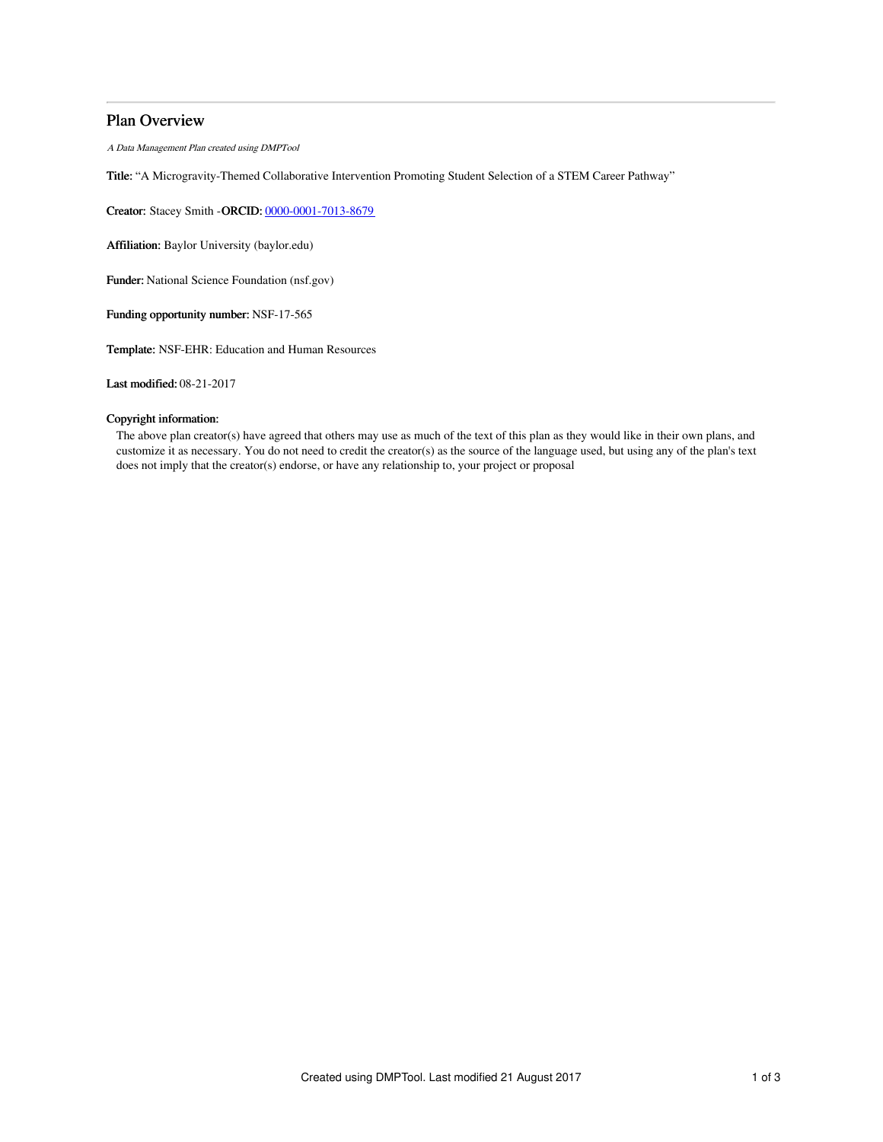## Plan Overview

A Data Management Plan created using DMPTool

Title: "A Microgravity-Themed Collaborative Intervention Promoting Student Selection of a STEM Career Pathway"

Creator: Stacey Smith -ORCID: [0000-0001-7013-8679](https://orcid.org/0000-0001-7013-8679)

Affiliation: Baylor University (baylor.edu)

Funder: National Science Foundation (nsf.gov)

Funding opportunity number: NSF-17-565

Template: NSF-EHR: Education and Human Resources

Last modified: 08-21-2017

## Copyright information:

The above plan creator(s) have agreed that others may use as much of the text of this plan as they would like in their own plans, and customize it as necessary. You do not need to credit the creator(s) as the source of the language used, but using any of the plan's text does not imply that the creator(s) endorse, or have any relationship to, your project or proposal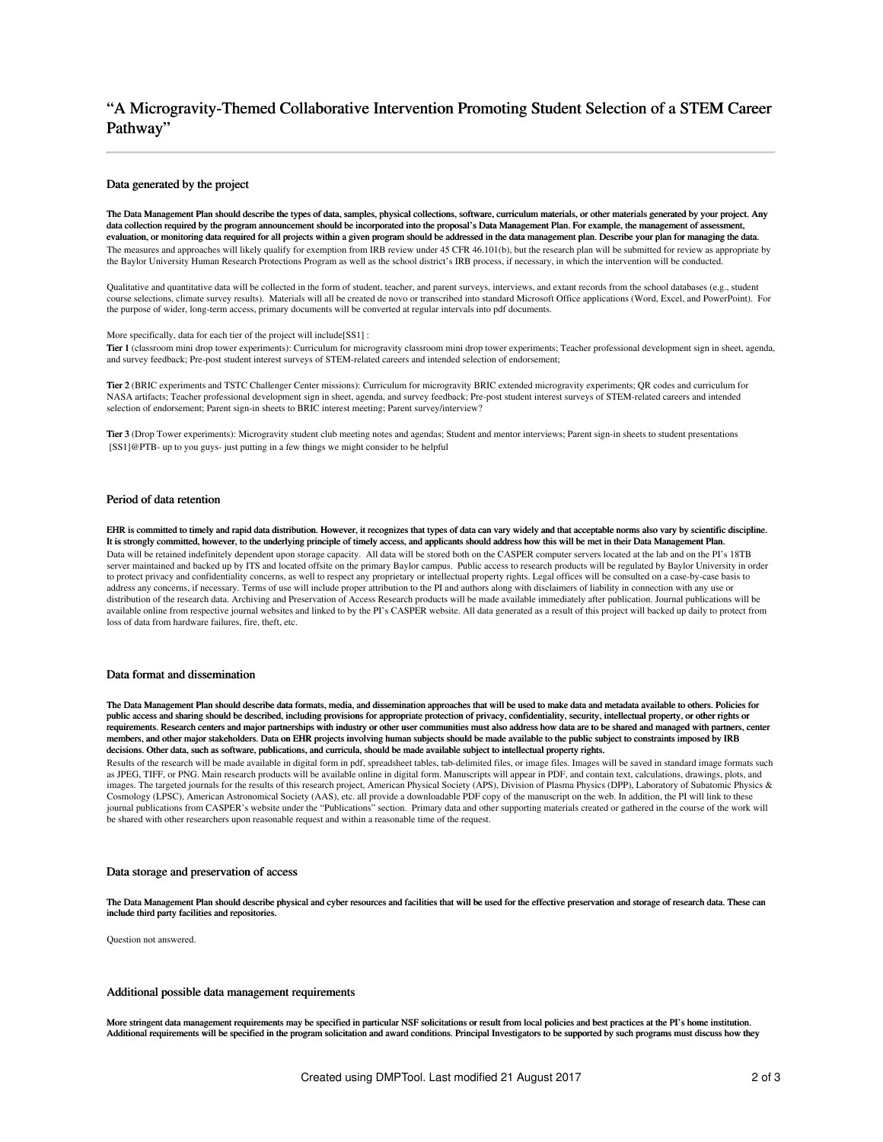# "A Microgravity-Themed Collaborative Intervention Promoting Student Selection of a STEM Career Pathway"

#### Data generated by the project

The Data Management Plan should describe the types of data, samples, physical collections, software, curriculum materials, or other materials generated by your project. Any data collection required by the program announcement should be incorporated into the proposal's Data Management Plan. For example, the management of assessment, evaluation, or monitoring data required for all projects within a given program should be addressed in the data management plan. Describe your plan for managing the data. The measures and approaches will likely qualify for exemption from IRB review under 45 CFR 46.101(b), but the research plan will be submitted for review as appropriate by the Baylor University Human Research Protections Program as well as the school district's IRB process, if necessary, in which the intervention will be conducted.

Qualitative and quantitative data will be collected in the form of student, teacher, and parent surveys, interviews, and extant records from the school databases (e.g., student course selections, climate survey results). Materials will all be created de novo or transcribed into standard Microsoft Office applications (Word, Excel, and PowerPoint). For the purpose of wider, long-term access, primary documents will be converted at regular intervals into pdf documents.

More specifically, data for each tier of the project will include[SS1] :

Tier 1 (classroom mini drop tower experiments): Curriculum for microgravity classroom mini drop tower experiments; Teacher professional development sign in sheet, agenda, and survey feedback; Pre-post student interest surveys of STEM-related careers and intended selection of endorsement;

Tier 2 (BRIC experiments and TSTC Challenger Center missions): Curriculum for microgravity BRIC extended microgravity experiments; QR codes and curriculum for NASA artifacts; Teacher professional development sign in sheet, agenda, and survey feedback; Pre-post student interest surveys of STEM-related careers and intended selection of endorsement; Parent sign-in sheets to BRIC interest meeting; Parent survey/interview?

Tier 3 (Drop Tower experiments): Microgravity student club meeting notes and agendas; Student and mentor interviews; Parent sign-in sheets to student presentations [SS1]@PTB- up to you guys- just putting in a few things we might consider to be helpful

### Period of data retention

EHR is committed to timely and rapid data distribution. However, it recognizes that types of data can vary widely and that acceptable norms also vary by scientific discipline. It is strongly committed, however, to the underlying principle of timely access, and applicants should address how this will be met in their Data Management Plan. Data will be retained indefinitely dependent upon storage capacity. All data will be stored both on the CASPER computer servers located at the lab and on the PI's 18TB server maintained and backed up by ITS and located offsite on the primary Baylor campus. Public access to research products will be regulated by Baylor University in order to protect privacy and confidentiality concerns, as well to respect any proprietary or intellectual property rights. Legal offices will be consulted on a case-by-case basis to address any concerns, if necessary. Terms of use will include proper attribution to the PI and authors along with disclaimers of liability in connection with any use or distribution of the research data. Archiving and Preservation of Access Research products will be made available immediately after publication. Journal publications will be available online from respective journal websites and linked to by the PI's CASPER website. All data generated as a result of this project will backed up daily to protect from loss of data from hardware failures, fire, theft, etc.

#### Data format and dissemination

The Data Management Plan should describe data formats, media, and dissemination approaches that will be used to make data and metadata available to others. Policies for public access and sharing should be described, including provisions for appropriate protection of privacy, confidentiality, security, intellectual property, or other rights or requirements. Research centers and major partnerships with industry or other user communities must also address how data are to be shared and managed with partners, center members, and other major stakeholders. Data on EHR projects involving human subjects should be made available to the public subject to constraints imposed by IRB decisions. Other data, such as software, publications, and curricula, should be made available subject to intellectual property rights.

Results of the research will be made available in digital form in pdf, spreadsheet tables, tab-delimited files, or image files. Images will be saved in standard image formats such as JPEG, TIFF, or PNG. Main research products will be available online in digital form. Manuscripts will appear in PDF, and contain text, calculations, drawings, plots, and images. The targeted journals for the results of this research project, American Physical Society (APS), Division of Plasma Physics (DPP), Laboratory of Subatomic Physics & Cosmology (LPSC), American Astronomical Society (AAS), etc. all provide a downloadable PDF copy of the manuscript on the web. In addition, the PI will link to these journal publications from CASPER's website under the "Publications" section. Primary data and other supporting materials created or gathered in the course of the work will be shared with other researchers upon reasonable request and within a reasonable time of the request.

#### Data storage and preservation of access

The Data Management Plan should describe physical and cyber resources and facilities that will be used for the effective preservation and storage of research data. These can include third party facilities and repositories.

Question not answered.

#### Additional possible data management requirements

More stringent data management requirements may be specified in particular NSF solicitations or result from local policies and best practices at the PI's home institution. Additional requirements will be specified in the program solicitation and award conditions. Principal Investigators to be supported by such programs must discuss how they